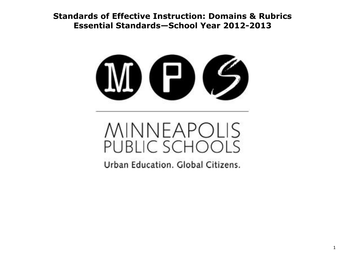**Standards of Effective Instruction: Domains & Rubrics Essential Standards—School Year 2012-2013**



# MINNEAPOLIS<br>PUBLIC SCHOOLS

Urban Education, Global Citizens.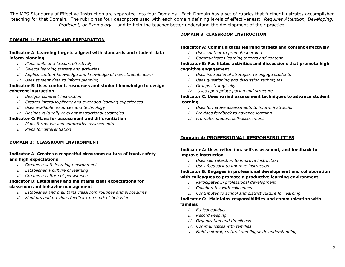The MPS Standards of Effective Instruction are separated into four Domains. Each Domain has a set of rubrics that further illustrates accomplished teaching for that Domain. The rubric has four descriptors used with each domain defining levels of effectiveness: *Requires Attention, Developing, Proficient, or Exemplary* – and to help the teacher better understand the development of their practice.

## **DOMAIN 1: PLANNING AND PREPARATION**

## **Indicator A: Learning targets aligned with standards and student data inform planning**

- *i. Plans units and lessons effectively*
- *ii. Selects learning targets and activities*
- *iii. Applies content knowledge and knowledge of how students learn*
- *iv. Uses student data to inform planning*

#### **Indicator B: Uses content, resources and student knowledge to design coherent instruction**

- *i. Designs coherent instruction*
- *ii. Creates interdisciplinary and extended learning experiences*
- *iii. Uses available resources and technology*
- *iv. Designs culturally relevant instructional strategies*

#### **Indicator C: Plans for assessment and differentiation**

- *i. Plans formative and summative assessments*
- *ii. Plans for differentiation*

#### **DOMAIN 2: CLASSROOM ENVIRONMENT**

## **Indicator A: Creates a respectful classroom culture of trust, safety and high expectations**

- *i. Creates a safe learning environment*
- *ii. Establishes a culture of learning*
- *iii. Creates a culture of persistence*

## **Indicator B: Establishes and maintains clear expectations for classroom and behavior management**

- *i. Establishes and maintains classroom routines and procedures*
- *ii. Monitors and provides feedback on student behavior*

#### **DOMAIN 3: CLASSROOM INSTRUCTION**

#### **Indicator A: Communicates learning targets and content effectively**

- *i. Uses content to promote learning*
- *ii. Communicates learning targets and content*

## **Indicator B: Facilitates activities and discussions that promote high cognitive engagement**

- *i. Uses instructional strategies to engage students*
- *ii. Uses questioning and discussion techniques*
- *iii. Groups strategically*
- *iv. Uses appropriate pacing and structure*

## **Indicator C: Uses varied assessment techniques to advance student learning**

- *i. Uses formative assessments to inform instruction*
- *ii. Provides feedback to advance learning*
- *iii. Promotes student self-assessment*

## **Domain 4: PROFESSIONAL RESPONSIBILITIES**

#### **Indicator A: Uses reflection, self-assessment, and feedback to improve instruction**

- *i. Uses self reflection to improve instruction*
- *ii. Uses feedback to improve instruction*

## **Indicator B: Engages in professional development and collaboration with colleagues to promote a productive learning environment**

- *i. Participates in professional development*
- *ii. Collaborates with colleagues*
- *iii. Contributes to school and district culture for learning*

#### **Indicator C: Maintains responsibilities and communication with families**

- *i. Ethical conduct*
- *ii. Record keeping*
- *iii. Organization and timeliness*
- *iv. Communicates with families*
- *v. Multi-cultural, cultural and linguistic understanding*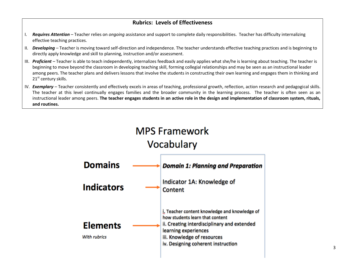## **Rubrics: Levels of Effectiveness**

- I. *Requires Attention –* Teacher relies on *ongoing* assistance and support to complete daily responsibilities. Teacher has difficulty internalizing effective teaching practices.
- II. *Developing –* Teacher is moving toward self-direction and independence. The teacher understands effective teaching practices and is beginning to directly apply knowledge and skill to planning, instruction and/or assessment.
- III. *Proficient –* Teacher is able to teach independently, internalizes feedback and easily applies what she/he is learning about teaching. The teacher is beginning to move beyond the classroom in developing teaching skill, forming collegial relationships and may be seen as an instructional leader among peers. The teacher plans and delivers lessons that involve the students in constructing their own learning and engages them in thinking and 21<sup>st</sup> century skills.
- IV. **Exemplary** Teacher consistently and effectively excels in areas of teaching, professional growth, reflection, action research and pedagogical skills. The teacher at this level continually engages families and the broader community in the learning process. The teacher is often seen as an instructional leader among peers. **The teacher engages students in an active role in the design and implementation of classroom system, rituals, and routines.**

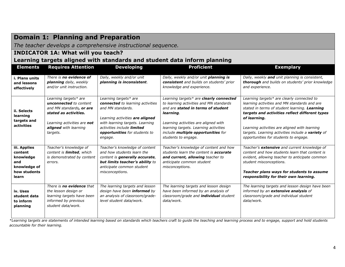# **Domain 1: Planning and Preparation**

*The teacher develops a comprehensive instructional sequence.*

## **INDICATOR 1A: What will you teach?**

## **Learning targets aligned with standards and student data inform planning**

| <b>Elements</b>                                                                      | <b>Requires Attention</b>                                                                                                                                                       | <b>Developing</b>                                                                                                                                                                                                              | <b>Proficient</b>                                                                                                                                                                                                                                                                          | <b>Exemplary</b>                                                                                                                                                                                                                                                                                                                                             |
|--------------------------------------------------------------------------------------|---------------------------------------------------------------------------------------------------------------------------------------------------------------------------------|--------------------------------------------------------------------------------------------------------------------------------------------------------------------------------------------------------------------------------|--------------------------------------------------------------------------------------------------------------------------------------------------------------------------------------------------------------------------------------------------------------------------------------------|--------------------------------------------------------------------------------------------------------------------------------------------------------------------------------------------------------------------------------------------------------------------------------------------------------------------------------------------------------------|
| i. Plans units<br>and lessons<br>effectively                                         | There is no evidence of<br>planning daily, weekly<br>and/or unit instruction.                                                                                                   | Daily, weekly and/or unit<br>planning is inconsistent.                                                                                                                                                                         | Daily, weekly and/or unit planning is<br>consistent and builds on students' prior<br>knowledge and experience.                                                                                                                                                                             | Daily, weekly and unit planning is consistent,<br>thorough and builds on students' prior knowledge<br>and experience.                                                                                                                                                                                                                                        |
| ii. Selects<br>learning<br>targets and<br>activities                                 | Learning targets* are<br><b>unconnected</b> to content<br>and MN standards, or are<br>stated as activities.<br>Learning activities are not<br>aligned with learning<br>targets. | Learning targets* are<br>connected to learning activities<br>and MN standards.<br>Learning activities are aligned<br>with learning targets. Learning<br>activities include limited<br>opportunities for students to<br>engage. | Learning targets* are clearly connected<br>to learning activities and MN standards<br>and are stated in terms of student<br>learning.<br>Learning activities are aligned with<br>learning targets. Learning activities<br>include <b>multiple opportunities</b> for<br>students to engage. | Learning targets* are clearly connected to<br>learning activities and MN standards and are<br>stated in terms of student learning. Learning<br>targets and activities reflect different types<br>of learning.<br>Learning activities are aligned with learning<br>targets. Learning activities include a variety of<br>opportunities for students to engage. |
| iii. Applies<br>content<br>knowledge<br>and<br>knowledge of<br>how students<br>learn | Teacher's knowledge of<br>content is limited, which<br>is demonstrated by content<br>errors.                                                                                    | Teacher's knowledge of content<br>and how students learn the<br>content is generally accurate,<br>but limits teacher's ability to<br>anticipate common student<br>misconceptions.                                              | Teacher's knowledge of content and how<br>students learn the content is <b>accurate</b><br>and current, allowing teacher to<br>anticipate common student<br>misconceptions.                                                                                                                | Teacher's extensive and current knowledge of<br>content and how students learn that content is<br>evident, allowing teacher to anticipate common<br>student misconceptions.<br>Teacher plans ways for students to assume<br>responsibility for their own learning.                                                                                           |
| iv. Uses<br>student data<br>to inform<br>planning                                    | There is <b>no evidence</b> that<br>the lesson design or<br>learning targets have been<br>informed by previous<br>student data/work.                                            | The learning targets and lesson<br>design have been informed by<br>an analysis of classroom/grade-<br>level student data/work.                                                                                                 | The learning targets and lesson design<br>have been informed by an analysis of<br>classroom/grade and <i>individual</i> student<br>data/work.                                                                                                                                              | The learning targets and lesson design have been<br>informed by an extensive analysis of<br>classroom/grade and individual student<br>data/work.                                                                                                                                                                                                             |

*\*Learning targets are statements of intended learning based on standards which teachers craft to guide the teaching and learning process and to engage, support and hold students accountable for their learning.*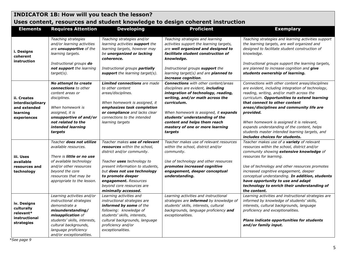# **INDICATOR 1B: How will you teach the lesson? Uses content, resources and student knowledge to design coherent instruction**

| <b>Elements</b>                                                             | <b>Requires Attention</b>                                                                                                                                                                                                      | <b>Developing</b>                                                                                                                                                                                                                                                                              | <b>Proficient</b>                                                                                                                                                                                                                                                                                                                   | <b>Exemplary</b>                                                                                                                                                                                                                                                                                                                                                                                                                                                            |
|-----------------------------------------------------------------------------|--------------------------------------------------------------------------------------------------------------------------------------------------------------------------------------------------------------------------------|------------------------------------------------------------------------------------------------------------------------------------------------------------------------------------------------------------------------------------------------------------------------------------------------|-------------------------------------------------------------------------------------------------------------------------------------------------------------------------------------------------------------------------------------------------------------------------------------------------------------------------------------|-----------------------------------------------------------------------------------------------------------------------------------------------------------------------------------------------------------------------------------------------------------------------------------------------------------------------------------------------------------------------------------------------------------------------------------------------------------------------------|
| i. Designs<br>coherent<br>instruction                                       | Teaching strategies<br>and/or learning activities<br>are <i>unsupportive</i> of the<br>learning targets.<br>Instructional groups do<br>not support the learning<br>$target(s)$ .                                               | Teaching strategies and/or<br>learning activities support the<br>learning targets, however may<br>be unorganized or lacking<br>coherence.<br>Instructional groups partially<br>support the learning target(s).                                                                                 | Teaching strategies and learning<br>activities support the learning targets,<br>are well organized and designed to<br>facilitate student construction of<br>knowledge.<br>Instructional groups support the<br>learning target(s) and are planned to<br>increase cognition.                                                          | Teaching strategies and learning activities support<br>the learning targets, are well organized and<br>designed to facilitate student construction of<br>knowledge.<br>Instructional groups support the learning targets,<br>are planned to increase cognition and give<br>students ownership of learning.                                                                                                                                                                  |
| ii. Creates<br>interdisciplinary<br>and extended<br>learning<br>experiences | No attempt to create<br><b>connections</b> to other<br>content areas or<br>disciplines.<br>When homework is<br>assigned, it is<br>unsupportive of and/or<br>not related to the<br>intended learning<br>targets                 | <b>Limited connections</b> are made<br>to other content<br>areas/disciplines.<br>When homework is assigned, it<br>emphasizes task completion<br>or compliance and lacks clear<br>connections to the intended<br>learning targets                                                               | <b>Connections</b> with other content/areas<br>disciplines are evident, including<br>integration of technology, reading,<br>writing, and/or math across the<br>curriculum.<br>When homework is assigned, it expands<br>students' understanding of the<br>content and helps them reach<br>mastery of one or more learning<br>targets | Connections with other content areas/disciplines<br>are evident, including integration of technology,<br>reading, writing, and/or math across the<br>curriculum. Opportunities to extend learning<br>that connect to other content<br>areas/disciplines and community life are<br>provided.<br>When homework is assigned it is relevant,<br>expands understanding of the content, helps<br>students master intended learning targets, and<br>includes choices for students. |
| iii. Uses<br>available<br>resources and<br>technology                       | Teacher does not utilize<br>available resources.<br>There is <b>little or no use</b><br>of available technology<br>and/or other resources<br>beyond the core<br>resources that may be<br>appropriate to the lesson.            | Teacher makes use of relevant<br>resources within the school,<br>district and/or community.<br>Teacher uses technology to<br>present information to students,<br>but does not use technology<br>to promote deeper<br>engagement. Resources<br>beyond core resources are<br>minimally accessed. | Teacher makes use of relevant resources<br>within the school, district and/or<br>community.<br>Use of technology and other resources<br>promotes increased cognitive<br>engagement, deeper conceptual<br>understanding.                                                                                                             | Teacher makes use of a variety of relevant<br>resources within the school, district and/or<br>community showing extensive knowledge of<br>resources for learning.<br>Use of technology and other resources promotes<br>increased cognitive engagement, deeper<br>conceptual understanding. In addition, students<br>have opportunity to use and adapt<br>technology to enrich their understanding of<br>the content.                                                        |
| iv. Designs<br>culturally<br>relevant*<br>instructional<br>strategies       | Learning activities and/or<br>instructional strategies<br>demonstrate a<br>misunderstanding/<br>misapplication of<br>students' skills, interests,<br>cultural backgrounds,<br>language proficiency<br>and/or exceptionalities. | Learning activities and<br>instructional strategies are<br>informed by some of the<br>following: knowledge of<br>students' skills, interests,<br>cultural backgrounds, language<br>proficiency and/or<br>exceptionalities.                                                                     | Learning activities and instructional<br>strategies are informed by knowledge of<br>students' skills, interests, cultural<br>backgrounds, language proficiency and<br>exceptionalities.                                                                                                                                             | Learning activities and instructional strategies are<br>informed by knowledge of students' skills,<br>interests, cultural backgrounds, language<br>proficiency and exceptionalities.<br>Plans indicate opportunities for students<br>and/or family input.                                                                                                                                                                                                                   |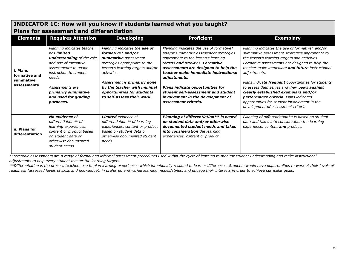## **INDICATOR 1C: How will you know if students learned what you taught? Plans for assessment and differentiation**

| <b>Elements</b>                                       | <b>Requires Attention</b>                                                                                                                                                                                                                               | <b>Developing</b>                                                                                                                                                                                                                                                                                | <b>Proficient</b>                                                                                                                                                                                                                                                                                                                                                                                              | <b>Exemplary</b>                                                                                                                                                                                                                                                                                                                                                                                                                                                                                                                                             |
|-------------------------------------------------------|---------------------------------------------------------------------------------------------------------------------------------------------------------------------------------------------------------------------------------------------------------|--------------------------------------------------------------------------------------------------------------------------------------------------------------------------------------------------------------------------------------------------------------------------------------------------|----------------------------------------------------------------------------------------------------------------------------------------------------------------------------------------------------------------------------------------------------------------------------------------------------------------------------------------------------------------------------------------------------------------|--------------------------------------------------------------------------------------------------------------------------------------------------------------------------------------------------------------------------------------------------------------------------------------------------------------------------------------------------------------------------------------------------------------------------------------------------------------------------------------------------------------------------------------------------------------|
| i. Plans<br>formative and<br>summative<br>assessments | Planning indicates teacher<br>has <b>limited</b><br><b>understanding</b> of the role<br>and use of formative<br>assessment* to adapt<br>instruction to student<br>needs.<br>Assessments are<br>primarily summative<br>and used for grading<br>purposes. | Planning indicates the use of<br>formative* and/or<br>summative assessment<br>strategies appropriate to the<br>lesson's learning targets and/or<br>activities.<br>Assessment is <b>primarily done</b><br>by the teacher with minimal<br>opportunities for students<br>to self-assess their work. | Planning indicates the use of formative*<br>and/or summative assessment strategies<br>appropriate to the lesson's learning<br>targets and activities. Formative<br>assessments are designed to help the<br>teacher make immediate instructional<br>adjustments.<br><b>Plans indicate opportunities for</b><br>student self-assessment and student<br>involvement in the development of<br>assessment criteria. | Planning indicates the use of formative* and/or<br>summative assessment strategies appropriate to<br>the lesson's learning targets and activities.<br>Formative assessments are designed to help the<br>teacher make immediate and future instructional<br>adjustments.<br>Plans indicate frequent opportunities for students<br>to assess themselves and their peers <b>against</b><br>clearly established exemplars and/or<br>performance criteria. Plans indicated<br>opportunities for student involvement in the<br>development of assessment criteria. |
| ii. Plans for<br>differentiation                      | <b>No evidence of</b><br>differentiation $**$ of<br>learning experiences,<br>content or product based<br>on student data or<br>otherwise documented<br>student needs                                                                                    | <b>Limited</b> evidence of<br>differentiation $**$ of learning<br>experiences, content or product<br>based on student data or<br>otherwise documented student<br>needs                                                                                                                           | Planning of differentiation** is based<br>on student data and/or otherwise<br>documented student needs and takes<br>into consideration the learning<br>experiences, content or product.                                                                                                                                                                                                                        | Planning of differentiation** is based on student<br>data and takes into consideration the learning<br>experience, content and product.                                                                                                                                                                                                                                                                                                                                                                                                                      |

*\*Formative assessments are a range of formal and informal assessment procedures used within the cycle of learning to monitor student understanding and make instructional adjustments to help every student master the learning targets.*

*\*\*Differentiation is the process teachers use to plan learning experiences which intentionally respond to learner differences. Students would have opportunities to work at their levels of readiness (assessed levels of skills and knowledge), in preferred and varied learning modes/styles, and engage their interests in order to achieve curricular goals.*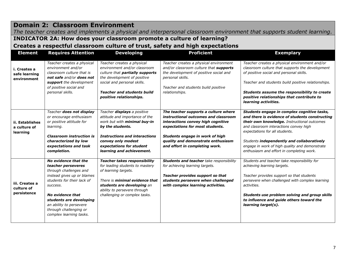## **Domain 2: Classroom Environment**

*The teacher creates and implements a physical and interpersonal classroom environment that supports student learning.*

## **INDICATOR 2A: How does your classroom promote a culture of learning?**

**Creates a respectful classroom culture of trust, safety and high expectations**

| <b>Element</b>                               | <b>Requires Attention</b>                                                                                                                                                                                                                                                   | <b>Developing</b>                                                                                                                                                                                                                        | <b>Proficient</b>                                                                                                                                                                                                                                                | <b>Exemplary</b>                                                                                                                                                                                                                                                                                                                                                      |
|----------------------------------------------|-----------------------------------------------------------------------------------------------------------------------------------------------------------------------------------------------------------------------------------------------------------------------------|------------------------------------------------------------------------------------------------------------------------------------------------------------------------------------------------------------------------------------------|------------------------------------------------------------------------------------------------------------------------------------------------------------------------------------------------------------------------------------------------------------------|-----------------------------------------------------------------------------------------------------------------------------------------------------------------------------------------------------------------------------------------------------------------------------------------------------------------------------------------------------------------------|
| i. Creates a<br>safe learning<br>environment | Teacher creates a physical<br>environment and/or<br>classroom culture that is<br>not safe and/or does not<br>support the development<br>of positive social and<br>personal skills.                                                                                          | Teacher creates a physical<br>environment and/or classroom<br>culture that partially supports<br>the development of positive<br>social and personal skills.<br><b>Teacher and students build</b><br>positive relationships.              | Teacher creates a physical environment<br>and/or classroom culture that supports<br>the development of positive social and<br>personal skills.<br>Teacher and students build positive<br>relationships.                                                          | Teacher creates a physical environment and/or<br>classroom culture that supports the development<br>of positive social and personal skills.<br>Teacher and students build positive relationships.<br>Students assume the responsibility to create<br>positive relationships that contribute to<br>learning activities.                                                |
| ii. Establishes<br>a culture of<br>learning  | Teacher does not display<br>or encourage enthusiasm<br>or positive attitude for<br>learning.<br><b>Classroom instruction is</b><br>characterized by low<br>expectations and task<br>completion.                                                                             | Teacher displays a positive<br>attitude and importance of the<br>work but with minimal buy-in<br>by the students.<br><b>Instructions and interactions</b><br>convey only modest<br>expectations for student<br>learning and achievement. | The teacher supports a culture where<br>instructional outcomes and classroom<br>interactions convey high cognitive<br>expectations for most students.<br>Students engage in work of high<br>quality and demonstrate enthusiasm<br>and effort in completing work. | Students engage in complex cognitive tasks,<br>and there is evidence of students constructing<br>their own knowledge. Instructional outcomes<br>and classroom interactions convey high<br>expectations for all students.<br>Students independently and collaboratively<br>engage in work of high quality and demonstrate<br>enthusiasm and effort in completing work. |
| iii. Creates a<br>culture of<br>persistence  | No evidence that the<br>teacher perseveres<br>through challenges and<br>instead gives up or blames<br>students for their lack of<br>success.<br>No evidence that<br>students are developing<br>an ability to persevere<br>through challenging or<br>complex learning tasks. | <b>Teacher takes responsibility</b><br>for leading students to mastery<br>of learning targets.<br>There is minimal evidence that<br>students are developing an<br>ability to persevere through<br>challenging or complex tasks.          | <b>Students and teacher take responsibility</b><br>for achieving learning targets.<br>Teacher provides support so that<br>students persevere when challenged<br>with complex learning activities.                                                                | Students and teacher take responsibility for<br>achieving learning targets.<br>Teacher provides support so that students<br>persevere when challenged with complex learning<br>activities.<br>Students use problem solving and group skills<br>to influence and guide others toward the<br>learning target(s).                                                        |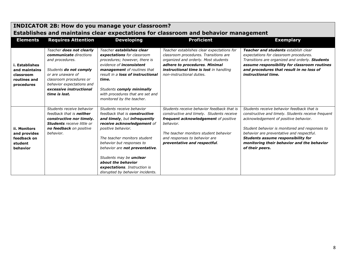|                                                                            | EStablistics and manitality clear expectations for classifically and behavior management                                                                                                                                 |                                                                                                                                                                                                                                                                                                                                                                           |                                                                                                                                                                                                                                                        |                                                                                                                                                                                                                                                                                                                                                        |  |  |
|----------------------------------------------------------------------------|--------------------------------------------------------------------------------------------------------------------------------------------------------------------------------------------------------------------------|---------------------------------------------------------------------------------------------------------------------------------------------------------------------------------------------------------------------------------------------------------------------------------------------------------------------------------------------------------------------------|--------------------------------------------------------------------------------------------------------------------------------------------------------------------------------------------------------------------------------------------------------|--------------------------------------------------------------------------------------------------------------------------------------------------------------------------------------------------------------------------------------------------------------------------------------------------------------------------------------------------------|--|--|
| <b>Elements</b>                                                            | <b>Requires Attention</b>                                                                                                                                                                                                | <b>Developing</b>                                                                                                                                                                                                                                                                                                                                                         | <b>Proficient</b>                                                                                                                                                                                                                                      | <b>Exemplary</b>                                                                                                                                                                                                                                                                                                                                       |  |  |
| i. Establishes<br>and maintains<br>classroom<br>routines and<br>procedures | Teacher does not clearly<br>communicate directions<br>and procedures.<br>Students do not comply<br>or are unaware of<br>classroom procedures or<br>behavior expectations and<br>excessive instructional<br>time is lost. | Teacher establishes clear<br>expectations for classroom<br>procedures; however, there is<br>evidence of <i>inconsistent</i><br>management of routines that<br>result in a loss of instructional<br>time.<br>Students comply minimally<br>with procedures that are set and<br>monitored by the teacher.                                                                    | Teacher establishes clear expectations for<br>classroom procedures. Transitions are<br>organized and orderly. Most students<br>adhere to procedures. Minimal<br>instructional time is lost in handling<br>non-instructional duties.                    | Teacher and students establish clear<br>expectations for classroom procedures.<br>Transitions are organized and orderly. Students<br>assume responsibility for classroom routines<br>and procedures that result in no loss of<br>instructional time.                                                                                                   |  |  |
| ii. Monitors<br>and provides<br>feedback on<br>student<br>behavior         | Students receive behavior<br>feedback that is <b>neither</b><br>constructive nor timely.<br><b>Students</b> receive little or<br>no feedback on positive<br>behavior.                                                    | Students receive behavior<br>feedback that is constructive<br>and timely, but infrequently<br>receive acknowledgement of<br>positive behavior.<br>The teacher monitors student<br>behavior but responses to<br>behavior are not preventative.<br>Students may be <b>unclear</b><br>about the behavior<br>expectations. Instruction is<br>disrupted by behavior incidents. | Students receive behavior feedback that is<br>constructive and timely. Students receive<br>frequent acknowledgement of positive<br>behavior.<br>The teacher monitors student behavior<br>and responses to behavior are<br>preventative and respectful. | Students receive behavior feedback that is<br>constructive and timely. Students receive frequent<br>acknowledgement of positive behavior.<br>Student behavior is monitored and responses to<br>behavior are preventative and respectful.<br><b>Students assume responsibility for</b><br>monitoring their behavior and the behavior<br>of their peers. |  |  |

# **INDICATOR 2B: How do you manage your classroom? Establishes and maintains clear expectations for classroom and behavior management**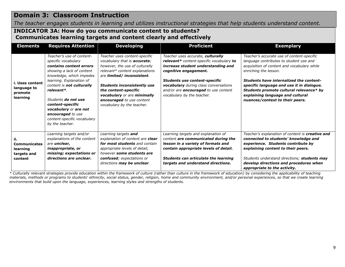# **Domain 3: Classroom Instruction**

*The teacher engages students in learning and utilizes instructional strategies that help students understand content.*

## **INDICATOR 3A: How do you communicate content to students? Communicates learning targets and content clearly and effectively**

| <b>Elements</b>                                                  | <b>Requires Attention</b>                                                                                                                                                                                                                                                                                                                                            | <b>Developing</b>                                                                                                                                                                                                                                                                                                                      | <b>Proficient</b>                                                                                                                                                                                                                                                                                          | <b>Exemplary</b>                                                                                                                                                                                                                                                                                                                                                        |
|------------------------------------------------------------------|----------------------------------------------------------------------------------------------------------------------------------------------------------------------------------------------------------------------------------------------------------------------------------------------------------------------------------------------------------------------|----------------------------------------------------------------------------------------------------------------------------------------------------------------------------------------------------------------------------------------------------------------------------------------------------------------------------------------|------------------------------------------------------------------------------------------------------------------------------------------------------------------------------------------------------------------------------------------------------------------------------------------------------------|-------------------------------------------------------------------------------------------------------------------------------------------------------------------------------------------------------------------------------------------------------------------------------------------------------------------------------------------------------------------------|
| i. Uses content<br>language to<br>promote<br>learning            | Teacher's use of content-<br>specific vocabulary<br>contains content errors<br>showing a lack of content<br>knowledge, which impedes<br>learning. Explanation of<br>content is not culturally<br>relevant*.<br>Students <b>do not use</b><br>content-specific<br><b>vocabulary</b> or are not<br>encouraged to use<br>content-specific vocabulary<br>by the teacher. | Teacher uses content-specific<br>vocabulary that is <b>accurate</b> ;<br>however, the use of culturally<br>relevant* content explanations<br>are limited/ inconsistent.<br><b>Students inconsistently use</b><br>the content-specific<br><b>vocabulary</b> or are minimally<br>encouraged to use content<br>vocabulary by the teacher. | Teacher uses accurate, culturally<br>relevant* content-specific vocabulary to<br>increase student understanding and<br>cognitive engagement.<br><b>Students use content-specific</b><br>vocabulary during class conversations<br>and/or are <b>encouraged</b> to use content<br>vocabulary by the teacher. | Teacher's accurate use of content-specific<br>language contributes to student use and<br>acquisition of content and vocabulary while<br>enriching the lesson.<br>Students have internalized the content-<br>specific language and use it in dialogue.<br>Students promote cultural relevance* by<br>explaining language and cultural<br>nuances/context to their peers. |
| ii.<br><b>Communicates</b><br>learning<br>targets and<br>content | Learning targets and/or<br>explanations of the content<br>are unclear,<br><i>inappropriate, or</i><br>missing; expectations or<br>directions are unclear.                                                                                                                                                                                                            | Learning targets and<br>explanation of content are clear<br>for most students and contain<br>appropriate levels of detail,<br>however some students are<br>confused; expectations or<br>directions may be unclear.                                                                                                                     | Learning targets and explanation of<br>content are communicated during the<br>lesson in a variety of formats and<br>contain appropriate levels of detail.<br>Students can articulate the learning<br>targets and understand directions.                                                                    | Teacher's explanation of content is creative and<br>connected to students' knowledge and<br>experience. Students contribute by<br>explaining content to their peers.<br>Students understand directions; students may<br>develop directions and procedures when<br>appropriate to the activity.                                                                          |

*\* Culturally relevant strategies provide education within the framework of culture (rather than culture in the framework of education) by considering the applicability of teaching materials, methods or programs to students' ethnicity, social status, gender, religion, home and community environment, and/or personal experiences, so that we create learning environments that build upon the language, experiences, learning styles and strengths of students.*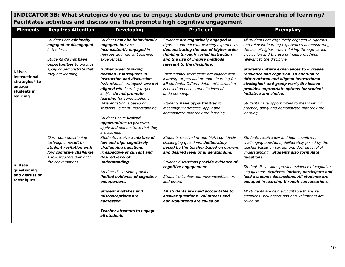# **INDICATOR 3B: What strategies do you use to engage students and promote their ownership of learning? Facilitates activities and discussions that promote high cognitive engagement**

| <b>Elements</b>                                                                 | <b>Requires Attention</b>                                                                                                                                                         | <b>Developing</b>                                                                                                                                                                                                                                                                                                                                                                                                                                                                                                                      | <b>Proficient</b>                                                                                                                                                                                                                                                                                                                                                                                                                                                                                                                                   | <b>Exemplary</b>                                                                                                                                                                                                                                                                                                                                                                                                                                                                                                                                                                                            |
|---------------------------------------------------------------------------------|-----------------------------------------------------------------------------------------------------------------------------------------------------------------------------------|----------------------------------------------------------------------------------------------------------------------------------------------------------------------------------------------------------------------------------------------------------------------------------------------------------------------------------------------------------------------------------------------------------------------------------------------------------------------------------------------------------------------------------------|-----------------------------------------------------------------------------------------------------------------------------------------------------------------------------------------------------------------------------------------------------------------------------------------------------------------------------------------------------------------------------------------------------------------------------------------------------------------------------------------------------------------------------------------------------|-------------------------------------------------------------------------------------------------------------------------------------------------------------------------------------------------------------------------------------------------------------------------------------------------------------------------------------------------------------------------------------------------------------------------------------------------------------------------------------------------------------------------------------------------------------------------------------------------------------|
| i. Uses<br>instructional<br>strategies* to<br>engage<br>students in<br>learning | Students are minimally<br>engaged or disengaged<br>in the lesson.<br>Students <b>do not have</b><br>opportunities to practice,<br>apply or demonstrate that<br>they are learning. | Students may be behaviorally<br>engaged, but are<br>inconsistently engaged in<br>rigorous and relevant learning<br>experiences.<br><b>Higher order thinking</b><br>demand is infrequent in<br>instruction and discussion.<br>Instructional strategies* are not<br>aligned with learning targets<br>and/or do not promote<br>learning for some students.<br>Differentiation is based on<br>students' level of understanding.<br>Students have limited<br>opportunities to practice,<br>apply and demonstrate that they<br>are learning. | Students are cognitively engaged in<br>rigorous and relevant learning experiences<br>demonstrating the use of higher order<br>thinking through varied instruction<br>and the use of inquiry methods<br>relevant to the discipline.<br>Instructional strategies* are aligned with<br>learning targets and promote learning for<br>all students. Differentiation of instruction<br>is based on each student's level of<br>understanding.<br>Students have opportunities to<br>meaningfully practice, apply and<br>demonstrate that they are learning. | All students are cognitively engaged in rigorous<br>and relevant learning experiences demonstrating<br>the use of higher order thinking through varied<br>instruction and the use of inquiry methods<br>relevant to the discipline.<br><b>Students initiate experiences to increase</b><br>relevance and cognition. In addition to<br>differentiated and aligned instructional<br>strategies* and group work, the lesson<br>provides appropriate options for student<br>initiative and choice.<br>Students have opportunities to meaningfully<br>practice, apply and demonstrate that they are<br>learning. |
| ii. Uses<br>questioning<br>and discussion<br>techniques                         | Classroom questioning<br>techniques result in<br>student recitation with<br>low cognitive challenge.<br>A few students dominate<br>the conversations.                             | Students receive a mixture of<br>low and high cognitively<br>challenging questions<br>irrespective of current and<br>desired level of<br>understanding.<br>Student discussions provide<br>limited evidence of cognitive<br>engagement.<br><b>Student mistakes and</b><br>misconceptions are<br>addressed.<br><b>Teacher attempts to engage</b><br>all students.                                                                                                                                                                        | Students receive low and high cognitively<br>challenging questions, deliberately<br>posed by the teacher based on current<br>and desired level of understanding.<br>Student discussions provide evidence of<br>cognitive engagement.<br>Student mistakes and misconceptions are<br>addressed.<br>All students are held accountable to<br>answer questions. Volunteers and<br>non-volunteers are called on.                                                                                                                                          | Students receive low and high cognitively<br>challenging questions, deliberately posed by the<br>teacher based on current and desired level of<br>understanding. Students also formulate<br>questions.<br>Student discussions provide evidence of cognitive<br>engagement. Students initiate, participate and<br>lead academic discussions. All students are<br>engaged in learning through conversations.<br>All students are held accountable to answer<br>questions. Volunteers and non-volunteers are<br>called on.                                                                                     |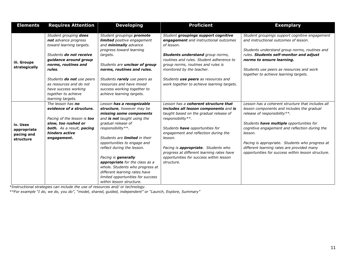| <b>Elements</b>                                    | <b>Requires Attention</b>                                                                                                                                                | <b>Developing</b>                                                                                                                                                                                                                                                                                                                                                                                                                                              | <b>Proficient</b>                                                                                                                                                                                                                                                                                                                                                                       | <b>Exemplary</b>                                                                                                                                                                                                                                                                                                                                                                                |
|----------------------------------------------------|--------------------------------------------------------------------------------------------------------------------------------------------------------------------------|----------------------------------------------------------------------------------------------------------------------------------------------------------------------------------------------------------------------------------------------------------------------------------------------------------------------------------------------------------------------------------------------------------------------------------------------------------------|-----------------------------------------------------------------------------------------------------------------------------------------------------------------------------------------------------------------------------------------------------------------------------------------------------------------------------------------------------------------------------------------|-------------------------------------------------------------------------------------------------------------------------------------------------------------------------------------------------------------------------------------------------------------------------------------------------------------------------------------------------------------------------------------------------|
|                                                    | Student grouping does<br>not advance progress<br>toward learning targets.                                                                                                | Student groupings promote<br>limited positive engagement<br>and minimally advance                                                                                                                                                                                                                                                                                                                                                                              | Student groupings support cognitive<br>engagement and instructional outcomes<br>of lesson.                                                                                                                                                                                                                                                                                              | Student groupings support cognitive engagement<br>and instructional outcomes of lesson.                                                                                                                                                                                                                                                                                                         |
| iii. Groups<br>strategically                       | Students do not receive<br>guidance around group<br>norms, routines and<br>rules.                                                                                        | progress toward learning<br>targets.<br>Students are unclear of group<br>norms, routines and rules.                                                                                                                                                                                                                                                                                                                                                            | Students understand group norms,<br>routines and rules. Student adherence to<br>group norms, routines and rules is<br>monitored by the teacher.                                                                                                                                                                                                                                         | Students understand group norms, routines and<br>rules. Students self-monitor and adjust<br>norms to ensure learning.<br>Students use peers as resources and work<br>together to achieve learning targets.                                                                                                                                                                                      |
|                                                    | Students do not use peers<br>as resources and do not<br>have success working<br>together to achieve<br>learning targets.                                                 | Students rarely use peers as<br>resources and have mixed<br>success working together to<br>achieve learning targets.                                                                                                                                                                                                                                                                                                                                           | Students use peers as resources and<br>work together to achieve learning targets.                                                                                                                                                                                                                                                                                                       |                                                                                                                                                                                                                                                                                                                                                                                                 |
| iv. Uses<br>appropriate<br>pacing and<br>structure | The lesson has no<br>evidence of a structure.<br>Pacing of the lesson is too<br>slow, too rushed or<br><b>both.</b> As a result, pacing<br>hinders active<br>engagement. | Lesson has a recognizable<br>structure, however may be<br>missing some components<br>and is not taught using the<br>gradual release of<br>responsibility**.<br>Students are <b>limited</b> in their<br>opportunities to engage and<br>reflect during the lesson.<br>Pacing is generally<br>appropriate for the class as a<br>whole. Students who progress at<br>different learning rates have<br>limited opportunities for success<br>within lesson structure. | Lesson has a coherent structure that<br>includes all lesson components and is<br>taught based on the gradual release of<br>responsibility**.<br>Students have opportunities for<br>engagement and reflection during the<br>lesson.<br>Pacing is <b>appropriate</b> . Students who<br>progress at different learning rates have<br>opportunities for success within lesson<br>structure. | Lesson has a coherent structure that includes all<br>lesson components and includes the gradual<br>release of responsibility**.<br>Students have multiple opportunities for<br>cognitive engagement and reflection during the<br>lesson.<br>Pacing is appropriate. Students who progress at<br>different learning rates are provided many<br>opportunities for success within lesson structure. |

*\*Instructional strategies can include the use of resources and/ or technology.*

*\*\*For example "I do, we do, you do", "model, shared, guided, independent" or "Launch, Explore, Summary"*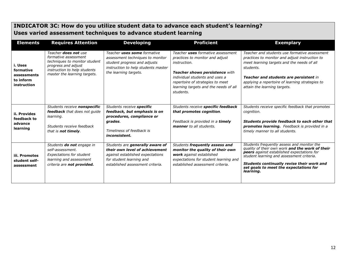# **INDICATOR 3C: How do you utilize student data to advance each student's learning? Uses varied assessment techniques to advance student learning**

| <b>Elements</b>                                                 | <b>Requires Attention</b>                                                                                                                                            | <b>Developing</b>                                                                                                                                                     | <b>Proficient</b>                                                                                                                                                                                                                                  | <b>Exemplary</b>                                                                                                                                                                                                                                                                              |
|-----------------------------------------------------------------|----------------------------------------------------------------------------------------------------------------------------------------------------------------------|-----------------------------------------------------------------------------------------------------------------------------------------------------------------------|----------------------------------------------------------------------------------------------------------------------------------------------------------------------------------------------------------------------------------------------------|-----------------------------------------------------------------------------------------------------------------------------------------------------------------------------------------------------------------------------------------------------------------------------------------------|
| i. Uses<br>formative<br>assessments<br>to inform<br>instruction | Teacher does not use<br>formative assessment<br>techniques to monitor student<br>progress and adjust<br>instruction to help students<br>master the learning targets. | Teacher uses some formative<br>assessment techniques to monitor<br>student progress and adjusts<br>instruction to help students master<br>the learning targets.       | Teacher uses formative assessment<br>practices to monitor and adjust<br>instruction.<br>Teacher shows persistence with<br>individual students and uses a<br>repertoire of strategies to meet<br>learning targets and the needs of all<br>students. | Teacher and students use formative assessment<br>practices to monitor and adjust instruction to<br>meet learning targets and the needs of all<br>students.<br>Teacher and students are persistent in<br>applying a repertoire of learning strategies to<br>attain the learning targets.       |
| ii. Provides<br>feedback to<br>advance<br>learning              | Students receive nonspecific<br><b>feedback</b> that does not quide<br>learning.<br>Students receive feedback<br>that is not timely.                                 | Students receive specific<br>feedback, but emphasis is on<br>procedures, compliance or<br>grades.<br>Timeliness of feedback is<br><i>inconsistent.</i>                | Students receive specific feedback<br>that promotes cognition.<br>Feedback is provided in a timely<br>manner to all students.                                                                                                                      | Students receive specific feedback that promotes<br>cognition.<br>Students provide feedback to each other that<br>promotes learning. Feedback is provided in a<br>timely manner to all students.                                                                                              |
| iii. Promotes<br>student self-<br>assessment                    | Students do not engage in<br>self-assessment.<br><b>Expectations for student</b><br>learning and assessment<br>criteria are not provided.                            | Students are generally aware of<br>their own level of achievement<br>against established expectations<br>for student learning and<br>established assessment criteria. | Students frequently assess and<br>monitor the quality of their own<br>work against established<br>expectations for student learning and<br>established assessment criteria.                                                                        | Students frequently assess and monitor the<br>quality of their own work and the work of their<br>peers against established expectations for<br>student learning and assessment criteria.<br>Students continually revise their work and<br>set goals to meet the expectations for<br>learning. |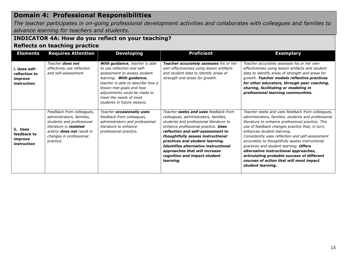# **Domain 4: Professional Responsibilities**

*The teacher participates in on-going professional development activities and collaborates with colleagues and families to advance learning for teachers and students.*

## **INDICATOR 4A: How do you reflect on your teaching? Reflects on teaching practice**

| <b>Elements</b>                                          | <b>Requires Attention</b>                                                                                                                                                                 | <b>Developing</b>                                                                                                                                                                                                                                                                   | <b>Proficient</b>                                                                                                                                                                                                                                                                                                                                                                                  | <b>Exemplary</b>                                                                                                                                                                                                                                                                                                                                                                                                                                                                                                                                      |
|----------------------------------------------------------|-------------------------------------------------------------------------------------------------------------------------------------------------------------------------------------------|-------------------------------------------------------------------------------------------------------------------------------------------------------------------------------------------------------------------------------------------------------------------------------------|----------------------------------------------------------------------------------------------------------------------------------------------------------------------------------------------------------------------------------------------------------------------------------------------------------------------------------------------------------------------------------------------------|-------------------------------------------------------------------------------------------------------------------------------------------------------------------------------------------------------------------------------------------------------------------------------------------------------------------------------------------------------------------------------------------------------------------------------------------------------------------------------------------------------------------------------------------------------|
| i. Uses self-<br>reflection to<br>improve<br>instruction | Teacher <b>does not</b><br>effectively use reflection<br>and self-assessment.                                                                                                             | With guidance, teacher is able<br>to use reflection and self-<br>assessment to assess student<br>learning. With guidance,<br>teacher is able to describe how a<br>lesson met goals and how<br>adjustments could be made to<br>meet the needs of most<br>students in future lessons. | Teacher accurately assesses his or her<br>own effectiveness using lesson artifacts<br>and student data to identify areas of<br>strength and areas for growth.                                                                                                                                                                                                                                      | Teacher accurately assesses his or her own<br>effectiveness using lesson artifacts and student<br>data to identify areas of strength and areas for<br>growth. Teacher models reflective practices<br>for other educators, through peer coaching,<br>sharing, facilitating or modeling in<br>professional learning communities.                                                                                                                                                                                                                        |
| ii. Uses<br>feedback to<br>improve<br>instruction        | Feedback from colleagues,<br>administrators, families,<br>students and professional<br>literature is resisted<br>and/or <b>does not</b> result in<br>changes in professional<br>practice. | Teacher occasionally uses<br>feedback from colleagues,<br>administrators and professional<br>literature to enhance<br>professional practice.                                                                                                                                        | Teacher seeks and uses feedback from<br>colleagues, administrators, families,<br>students and professional literature to<br>enhance professional practice. Uses<br>reflection and self-assessment to<br>thoughtfully assess instructional<br>practices and student learning.<br>Identifies alternative instructional<br>approaches that will increase<br>cognition and impact student<br>learning. | Teacher seeks and uses feedback from colleagues,<br>administrators, families, students and professional<br>literature to enhance professional practice. This<br>use of feedback changes practice that, in turn,<br>enhances student learning.<br>Consistently uses reflection and self-assessment<br>accurately to thoughtfully assess instructional<br>practices and student learning. Offers<br>alternative instructional approaches,<br>articulating probable success of different<br>courses of action that will most impact<br>student learning. |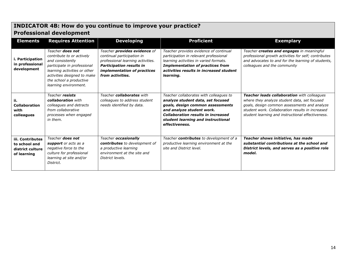# **INDICATOR 4B: How do you continue to improve your practice? Professional development**

| <b>Elements</b>                                                      | <b>Requires Attention</b>                                                                                                                                                                                                  | <b>Developing</b>                                                                                                                                                                            | <b>Proficient</b>                                                                                                                                                                                                                                  | <b>Exemplary</b>                                                                                                                                                                                                                                            |
|----------------------------------------------------------------------|----------------------------------------------------------------------------------------------------------------------------------------------------------------------------------------------------------------------------|----------------------------------------------------------------------------------------------------------------------------------------------------------------------------------------------|----------------------------------------------------------------------------------------------------------------------------------------------------------------------------------------------------------------------------------------------------|-------------------------------------------------------------------------------------------------------------------------------------------------------------------------------------------------------------------------------------------------------------|
| Participation<br>in professional<br>development                      | Teacher <b>does not</b><br>contribute to or actively<br>and consistently<br>participate in professional<br>learning activities or other<br>activities designed to make<br>the school a productive<br>learning environment. | Teacher <b>provides evidence</b> of<br>continual participation in<br>professional learning activities.<br><b>Participation results in</b><br>implementation of practices<br>from activities. | Teacher provides evidence of continual<br>participation in relevant professional<br>learning activities in varied formats.<br><b>Implementation of practices from</b><br>activities results in increased student<br>learning.                      | Teacher creates and engages in meaningful<br>professional growth activities for self; contributes<br>and advocates to and for the learning of students,<br>colleagues and the community                                                                     |
| ij.<br><b>Collaboration</b><br>with<br>colleagues                    | Teacher resists<br>collaboration with<br>colleagues and detracts<br>from collaborative<br>processes when engaged<br>in them.                                                                                               | Teacher collaborates with<br>colleagues to address student<br>needs identified by data.                                                                                                      | Teacher collaborates with colleagues to<br>analyze student data, set focused<br>goals, design common assessments<br>and analyze student work.<br><b>Collaboration results in increased</b><br>student learning and instructional<br>effectiveness. | <b>Teacher leads collaboration</b> with colleagues<br>where they analyze student data, set focused<br>goals, design common assessments and analyze<br>student work. Collaboration results in increased<br>student learning and instructional effectiveness. |
| iii. Contributes<br>to school and<br>district culture<br>of learning | Teacher <b>does not</b><br>support or acts as a<br>negative force to the<br>culture for professional<br>learning at site and/or<br>District.                                                                               | Teacher occasionally<br>contributes to development of<br>a productive learning<br>environment at the site and<br>District levels.                                                            | Teacher contributes to development of a<br>productive learning environment at the<br>site and District level.                                                                                                                                      | Teacher shows initiative, has made<br>substantial contributions at the school and<br>District levels, and serves as a positive role<br>model.                                                                                                               |